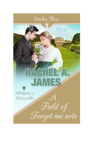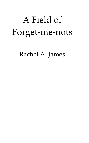## A Field of Forget-me-nots

Rachel A. James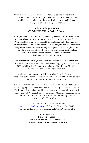This is a work of fiction. Names, characters, places, and incidents either are the product of the author's imagination or are used fictitiously, and any resemblance to actual persons living or dead, business establishments, events, or locales, is entirely coincidental.

## **A Field of Forget-me-nots COPYRIGHT 2020 by Rachel A. James**

All rights reserved. No part of this book may be used or reproduced in any manner whatsoever without written permission of the author or Pelican Ventures, LLC except in the case of brief quotations embodied in critical articles or reviews. eBook editions are licensed for your personal enjoyment only. eBooks may not be re-sold, copied or given to other people. If you would like to share an eBook edition, please purchase an additional copy for each person you share it with. Contact Information: titleadmin@pelicanbookgroup.com

All scripture quotations, unless otherwise indicated, are taken from the Holy Bible, New International Version<sup>(R),</sup> NIV<sup>(R),</sup> Copyright 1973, 1978, 1984, 2011 by Biblica, Inc.<sup>™</sup> Used by permission of Zondervan. All rights reserved worldwide. www.zondervan.com

Scripture quotations, marked KJV are taken from the King James translation, public domain. Scripture quotations marked DR, are taken from the Douay Rheims translation, public domain.

Scripture texts marked NAB are taken from the *New American Bible, revised edition* Copyright 2010, 1991, 1986, 1970 Confraternity of Christian Doctrine, Washington, D.C. and are used by permission of the copyright owner. All Rights Reserved. No part of the New American Bible may be reproduced in any form without permission in writing from the copyright owner. Cover Art by *Nicola Martinez*

Prism is a division of Pelican Ventures, LLC [www.pelicanbookgroup.com](http://www.pelicanbookgroup.com/) PO Box 1738 \*Aztec, NM \* 87410 The Triangle Prism logo is a trademark of Pelican Ventures, LLC

> Publishing History Prism Edition, 2020 Electronic Edition ISBN 978-1-5223-9877-6 **Published in the United States of America**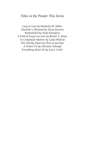## *Titles in the Ponder This Series*

*Lucy in Love by Kimberly M. Miller Charlotte's Dilemma by Susan Karsten Buttonholed by Anita Klumpers A Field of Forget-me-nots by Rachel A. James To Complicate Matters by Linda Widrick This Worthy Heart by Dixie Jo Jarchow A Perfect Fit by Christine Schimpf Everything about Us by Lisa J. Lickel*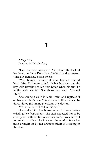## **1**

*1 May 1859 Longworth Hall, Luxbury*

'Her condition worsens.' Ana placed the back of her hand on Lady Dunston's forehead and grimaced. 'Has Mr. Renshaw been sent for?'

'Yes, though I wonder if word has yet reached him.' Mrs. Pridmore tutted. 'What business has the boy with traveling so far from home when his aunt be in the state she is?' She shook her head. 'It's not right.'

Ana wrung a cloth in tepid water and replaced it on her guardian's face. 'I fear there is little that can be done, although I am no physician. The doctor…'

'Yes miss, he will call in this eve.'

She waited for the housekeeper to leave before exhaling her frustrations. The staff expected her to be strong, but with her future so uncertain, it was difficult to remain positive. She kneaded the tension from her neck brought on by her arduous night of sleeping in the chair.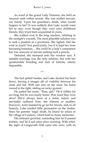As ward of the grand Lady Dunston, she held an unusual rank within society. She was neither servant, nor family. Upon her guardian's death, what would happen to her? It was unlikely that Luke would want her to stay, even though they were once childhood friends, they'd not been acquainted in years.

She walked over to the long window, relishing in the sunlight's warmth. The most plausible solution was to seek a position as a governess. She sighed. Did she wish to teach? Not particularly, but if it kept her from becoming homeless… She could be a lady's companion but was unaware of anyone seeking such a person.

Defeated, she slumped onto the window seat. A suitable marriage was the only solution, but with her questionable breeding and lack of fortune, utterly impossible.

 $\sim^*$ 

The hail pelted harder, and Luke ducked his head down, leaving a meager slit of visibility between his cloak and hat. With one arm on the reins, his horse veered to the right, sliding on rocky ground.

He patted her mane. "Easy, girl." He'd ridden for too long, but he was nearly home. Was Aunt May even alive? She'd always been of a sickly nature and inevitably suffered from one ailment or another. However, Aunt insisted he go on his travels, and, in all honesty, Luke needed little persuasion on the matter. Since his parents' tragic death, he found no solace in the village of Luxbury, which held so many memories.

His stomach growled, reminding him he'd passed teatime, and he'd not eaten since morning. With relief, the sight of Longworth Hall came into view, with its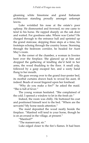gleaming white limestone and grand Italianate architecture standing proudly amongst unkempt lawns.

Luke wrinkled his nose at the estate's poor upkeep. He dismounted and frowned, no one came to tend to his horse. He rapped sharply on the oak door and waited. For goodness sake. Where was Carter? He charged through to the entrance hall and sprinted up the grand staircase, skipping three steps at a time, his footsteps echoing through the country house. Storming through the bedroom corridor, he headed for Aunt May's room.

In the corner of the chamber, a woman in liveries bent over the fireplace. She glanced up at him and dropped the gathering of kindling she'd held in her arms, the wood thudding to the floor. A small yelp, followed by a gasp escaped her, and a sooty hand flung to her mouth.

His gaze swung over to the grand four-poster bed, its morbid curtains drawn back to reveal his aunt, ill indeed. Beads of sweat lingered upon her forehead.

'Why do you make a fire?' he asked the maid. "She is full of fever."

The young woman hesitated. 'She complained of the cold. I opened a window to let in the fresh air.'

Indeed, the room was chilly. He buttoned his coat and positioned himself next to the bed. 'Where are the servants? My horse needs attention.'

The maid deposited the wood neatly beside the fireplace. 'Manfred will tend to your horse, though he is on an errand in the village, at present.'

'Manfred?'

'The manservant, sir.'

Luke edged closer to the fire's flames. It had been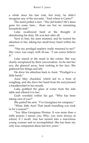a while since his last visit, but truly, he didn't recognize any of the servants. "And where is Carter?"

The maid pulled a face. 'The old butler? He's been gone for some time… there are but six remaining household staff.'

Luke swallowed hard at the thought of abandoning his duty. He was heir after all.

Next to him, his aunt moaned, and he turned his attention to her, taking her small bony hand within his own.

'Has my prodigal nephew really returned to me?' Her voice was raspy with ill-use. 'I can scarce believe  $i$ <sup>t</sup>.''

Luke stared at the maid in the corner. She was clearly enraptured by their conversation. As he met her eye, she glanced away, heat rushing to her face. She gathered her things and left.

He drew his attention back to Aunt. 'Prodigal is a little harsh "

Aunt May chuckled, which led to a bout of coughing, and she drew her hand from his and pressed a handkerchief to her mouth.

Luke grabbed the glass of water from the side table and offered it to her.

Guilt wrestled within his gut. 'Who has been taking care of you?'

She patted his arm. 'I've Georgiana for company.'

'What, little Ana? That small foundling you took in for a season?'

'Yes, Miss Georgiana Weston. It was more than a trifle season; I assure you. Why, you were always at school, if I recall. Ana has turned into a marvelous young woman and so accomplished. She has been my only true companion these last few years.'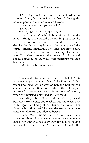He'd not given the girl much thought. After his parents' death, he'd remained at Oxford during the holiday periods and later traveled Europe.

'She was here when you came in.'

'She was?'

'Yes, by the fire. You spoke to her.'

'*That*, was Ana? Why I thought her to be the maid!' Things were indeed dire. Bidding his leave, he went in search of his room. The candles were unlit, despite the fading daylight, another example of the estate suffering financially. The once elaborate house was sparse in comparison to his memory of a decade ago. Dust sheets covered the unused furniture and spaces appeared on the walls from paintings that had been sold.

And this was his inheritance.

~\*~

Ana stared into the mirror in utter disbelief. 'This is how you present yourself to Luke Renshaw.' Ten years since he'd last laid eyes on her, and nothing had changed since that time except, she'd like to think, an improved appearance. Apart from now, of course, when she depicted a glorified scullery maid.

Discarding the filthy working clothes, she'd borrowed from Betty, she reached into the washbasin with vigor, scrubbing at her hands and under her fingernails until it hurt. The lavender scented soap was a little bit of luxury she allowed herself.

It was Mrs. Pridmore's turn to nurse Lady Dunston, giving Ana a few moments peace to ready herself for dinner. Since Lady Dunston took to having her meals in her room, Ana usually ate with the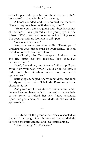housekeeper, but, upon Mr. Renshaw's request, she'd been asked to dine with him that evening.

A knock sounded, and Betty entered the chamber. 'Do you require a hand with dressing, miss?'

'Thank you, I am struggling with these fastenings at the back.' Ana glanced at the young girl in the mirror. 'We'll need you to serve in the dining room this evening, with no footmen to call upon.'

'Yes, of course, miss.'

Ana gave an appreciative smile, 'Thank you. I understand your duties must be overbearing. It is an awful lot for us to ask more of you.'

'It's all right, miss. Can't complain. And you made the fire again for the mistress. You should've summoned me"

'Well, I was there, and it seemed silly to pull you away from your work when I could do it. At least, it did, until Mr. Renshaw made an unexpected appearance.'

Betty giggled, helped Ana with her dress, and took to tidying up her hair. 'I bet Mr. Renshaw got the shock of his life.'

Ana gazed out the window. 'I think he did, and I believe I am to blame. Let's do our best to make a lady of me, Betty.' If indeed, her very future depended upon this gentleman, she would do all she could to appease him.

~\*~

The chime of the grandfather clock resonated in his skull, although the dimness of the candlelight softened the surroundings and feeble furnishings.

'Good evening, Mr. Renshaw.'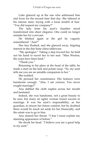Luke glanced up at the one who addressed him and froze for the second time that day. She faltered at his intense stare, toying with a loose tendril of hair. 'You did request my company?'

The lady from his aunt's chamber stood transformed into sheer elegance. One could no longer mistake her for a servant.

He blinked again at the girl he vaguely remembered. 'Ana?'

Her face flushed, and she glanced away, feigning interest in the fine bone china tableware.

'My apologies.' Taking a step toward her, he held out his hand to escort her to her seat. 'Miss Weston, the years have been kind.'

'Thank you.'

Returning to his place at the head of the table, he made a start on the leek and potato soup. "So, my aunt tells me you are an amiable companion to her.'

She nodded.

He perused her countenance. Her features were handsome enough. 'Alas, I am curious. You never sought marriage?'

Ana dabbed the cloth napkin across her mouth and hesitated.

Indeed, she was handsome, not a great beauty to be sure, but many an uglier woman found success in marriage. It was his aunt's responsibility, as her guardian, to ensure her future comfort, but he doubted there would be much set aside for her financially, and the estate was to go to him.

Ana cleared her throat. 'I fear I must explain my alarming appearance of before.'

He shook his head. 'I believe you are a great help to my aunt.'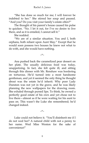'She has done so much for me; I will forever be indebted to her.' She stirred her soup and paused. 'And you? Do you visit your family's estate often?'

The thought of his parent's house caused his pulse to quicken. 'No. I let it out, for I've no desire to live there, and as it is entailed, I cannot sell it.'

She nodded.

'We are of a similar situation. You and I, both orphans, both reliant upon Aunt May.' Except that he would soon possess two houses he knew not what to do with, and she would have nothing.

~\*~

Ana pushed back the caramelized pear dessert on her plate. The usually delicious food was today, unappetizing. In fact, she felt quite ill, and sitting through this dinner with Mr. Renshaw was bordering on torturous. He'd turned into a most handsome gentleman, and yet it seemed the only thing he thought about was the estate he'd inherit. Why poor Lady Dunston was not yet in the grave, and he was likely planning the new wallpapers for the drawing room. She exhaled through pursed lips. To think, he owned a perfectly good estate of his own and yet chose not to live there—almost as if he were waiting for his aunt to pass on. This wasn't the Luke she remembered; he'd changed indeed.

 $\sim^*$ 

Luke could not believe it. 'You'll disinherit me if I do not wed her? A natural child with not a penny to her name. Wed Miss Weston for the sake of convenience!'